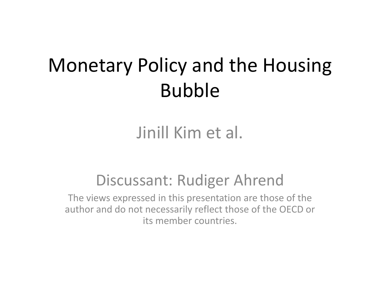# Monetary Policy and the Housing Bubble

# Jinill Kim et al.

## Discussant: Rudiger Ahrend

The views expressed in this presentation are those of the author and do not necessarily reflect those of the OECD or its member countries.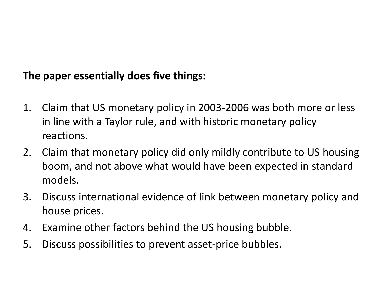### **The paper essentially does five things:**

- 1. Claim that US monetary policy in 2003-2006 was both more or less in line with a Taylor rule, and with historic monetary policy reactions.
- 2. Claim that monetary policy did only mildly contribute to US housing boom, and not above what would have been expected in standard models.
- 3. Discuss international evidence of link between monetary policy and house prices.
- 4. Examine other factors behind the US housing bubble.
- 5. Discuss possibilities to prevent asset-price bubbles.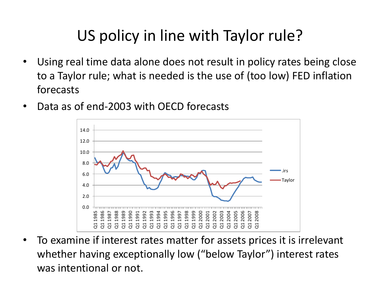# US policy in line with Taylor rule?

- Using real time data alone does not result in policy rates being close to a Taylor rule; what is needed is the use of (too low) FED inflation forecasts
- Data as of end-2003 with OECD forecasts



• To examine if interest rates matter for assets prices it is irrelevant whether having exceptionally low ("below Taylor") interest rates was intentional or not.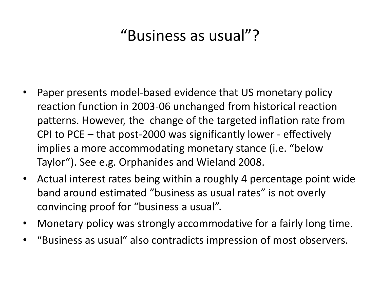# "Business as usual"?

- Paper presents model-based evidence that US monetary policy reaction function in 2003-06 unchanged from historical reaction patterns. However, the change of the targeted inflation rate from CPI to PCE – that post-2000 was significantly lower - effectively implies a more accommodating monetary stance (i.e. "below Taylor"). See e.g. Orphanides and Wieland 2008.
- Actual interest rates being within a roughly 4 percentage point wide band around estimated "business as usual rates" is not overly convincing proof for "business a usual".
- Monetary policy was strongly accommodative for a fairly long time.
- "Business as usual" also contradicts impression of most observers.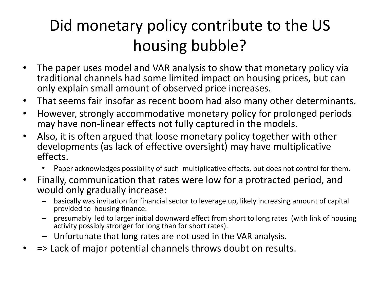# Did monetary policy contribute to the US housing bubble?

- The paper uses model and VAR analysis to show that monetary policy via traditional channels had some limited impact on housing prices, but can only explain small amount of observed price increases.
- That seems fair insofar as recent boom had also many other determinants.
- However, strongly accommodative monetary policy for prolonged periods may have non-linear effects not fully captured in the models.
- Also, it is often argued that loose monetary policy together with other developments (as lack of effective oversight) may have multiplicative effects.
	- Paper acknowledges possibility of such multiplicative effects, but does not control for them.
- Finally, communication that rates were low for a protracted period, and would only gradually increase:
	- basically was invitation for financial sector to leverage up, likely increasing amount of capital provided to housing finance.
	- presumably led to larger initial downward effect from short to long rates (with link of housing activity possibly stronger for long than for short rates).
	- Unfortunate that long rates are not used in the VAR analysis.
- => Lack of major potential channels throws doubt on results.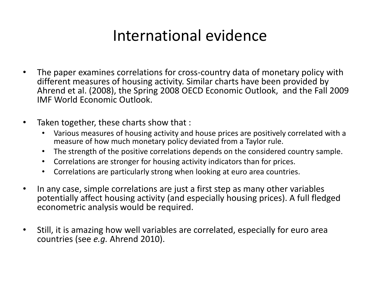## International evidence

- The paper examines correlations for cross-country data of monetary policy with different measures of housing activity. Similar charts have been provided by Ahrend et al. (2008), the Spring 2008 OECD Economic Outlook, and the Fall 2009 IMF World Economic Outlook.
- Taken together, these charts show that :
	- Various measures of housing activity and house prices are positively correlated with a measure of how much monetary policy deviated from a Taylor rule.
	- The strength of the positive correlations depends on the considered country sample.
	- Correlations are stronger for housing activity indicators than for prices.
	- Correlations are particularly strong when looking at euro area countries.
- In any case, simple correlations are just a first step as many other variables potentially affect housing activity (and especially housing prices). A full fledged econometric analysis would be required.
- Still, it is amazing how well variables are correlated, especially for euro area countries (see *e.g.* Ahrend 2010).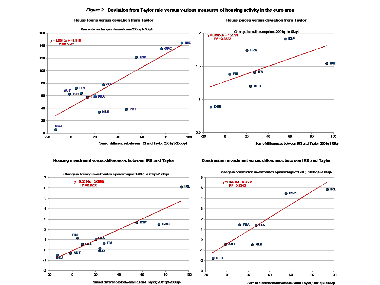#### Figure 2. Deviation from Taylor rule versus various measures of housing activity in the euro area



#### House Ioans versus deviation from Taylor

House prices versus deviation from Taylor

Housing investment versus differences between IRS and Taylor

Construction investment versus differences between IRS and Taylor



Change in construction investment as a percentage of GDP, 2001q1-2006q4

Sum of differences between IRS and Taylor, 2001q3-2006q4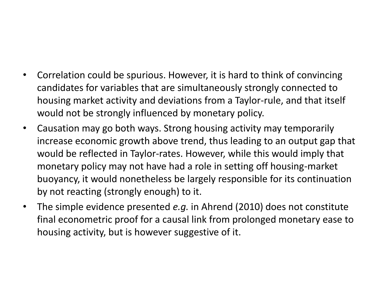- Correlation could be spurious. However, it is hard to think of convincing candidates for variables that are simultaneously strongly connected to housing market activity and deviations from a Taylor-rule, and that itself would not be strongly influenced by monetary policy.
- Causation may go both ways. Strong housing activity may temporarily increase economic growth above trend, thus leading to an output gap that would be reflected in Taylor-rates. However, while this would imply that monetary policy may not have had a role in setting off housing-market buoyancy, it would nonetheless be largely responsible for its continuation by not reacting (strongly enough) to it.
- The simple evidence presented *e.g.* in Ahrend (2010) does not constitute final econometric proof for a causal link from prolonged monetary ease to housing activity, but is however suggestive of it.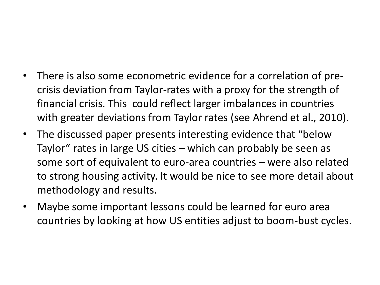- There is also some econometric evidence for a correlation of precrisis deviation from Taylor-rates with a proxy for the strength of financial crisis. This could reflect larger imbalances in countries with greater deviations from Taylor rates (see Ahrend et al., 2010).
- The discussed paper presents interesting evidence that "below Taylor" rates in large US cities – which can probably be seen as some sort of equivalent to euro-area countries – were also related to strong housing activity. It would be nice to see more detail about methodology and results.
- Maybe some important lessons could be learned for euro area countries by looking at how US entities adjust to boom-bust cycles.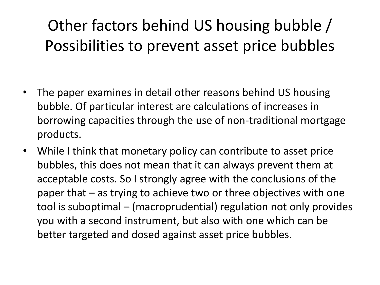# Other factors behind US housing bubble / Possibilities to prevent asset price bubbles

- The paper examines in detail other reasons behind US housing bubble. Of particular interest are calculations of increases in borrowing capacities through the use of non-traditional mortgage products.
- While I think that monetary policy can contribute to asset price bubbles, this does not mean that it can always prevent them at acceptable costs. So I strongly agree with the conclusions of the paper that – as trying to achieve two or three objectives with one tool is suboptimal – (macroprudential) regulation not only provides you with a second instrument, but also with one which can be better targeted and dosed against asset price bubbles.